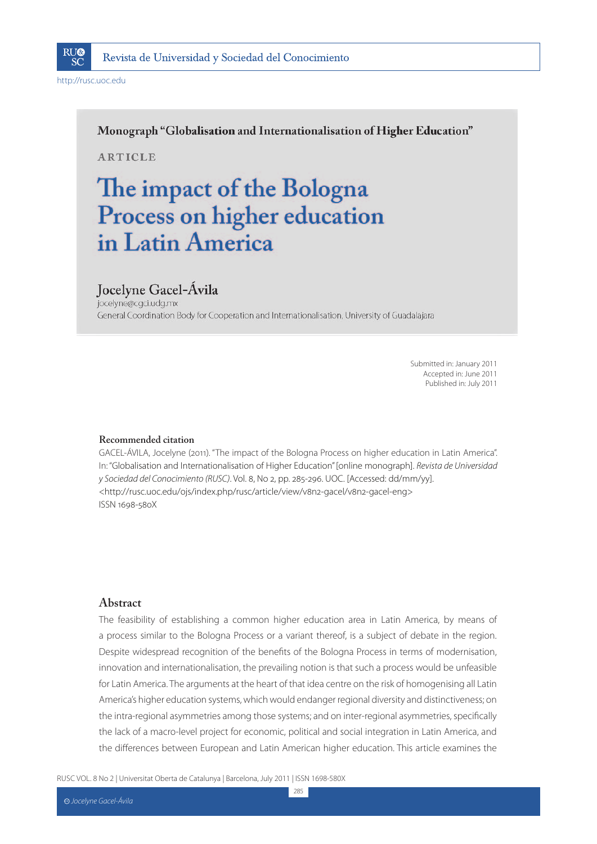

http://rusc.uoc.edu

### Monograph "Globalisation and Internationalisation of Higher Education"

**ARTICLE** 

# The impact of the Bologna Process on higher education in Latin America

### Jocelyne Gacel-Ávila

jocelyne@cgci.udg.mx General Coordination Body for Cooperation and Internationalisation, University of Guadalajara

> Submitted in: January 2011 Accepted in: June 2011 Published in: July 2011

#### **Recommended citation**

GACEL-ÁVILA, Jocelyne (2011). "The impact of the Bologna Process on higher education in Latin America". In: "Globalisation and Internationalisation of Higher Education" [online monograph]. Revista de Universidad y Sociedad del Conocimiento (RUSC). Vol. 8, No 2, pp. 285-296. UOC. [Accessed: dd/mm/yy]. <http://rusc.uoc.edu/ojs/index.php/rusc/article/view/v8n2-gacel/v8n2-gacel-eng> ISSN 1698-580X

#### **Abstract**

The feasibility of establishing a common higher education area in Latin America, by means of a process similar to the Bologna Process or a variant thereof, is a subject of debate in the region. Despite widespread recognition of the benefits of the Bologna Process in terms of modernisation, innovation and internationalisation, the prevailing notion is that such a process would be unfeasible for Latin America. The arguments at the heart of that idea centre on the risk of homogenising all Latin America's higher education systems, which would endanger regional diversity and distinctiveness; on the intra-regional asymmetries among those systems; and on inter-regional asymmetries, specifically the lack of a macro-level project for economic, political and social integration in Latin America, and the differences between European and Latin American higher education. This article examines the

RUSC VOL. 8 No 2 | Universitat Oberta de Catalunya | Barcelona, July 2011 | ISSN 1698-580X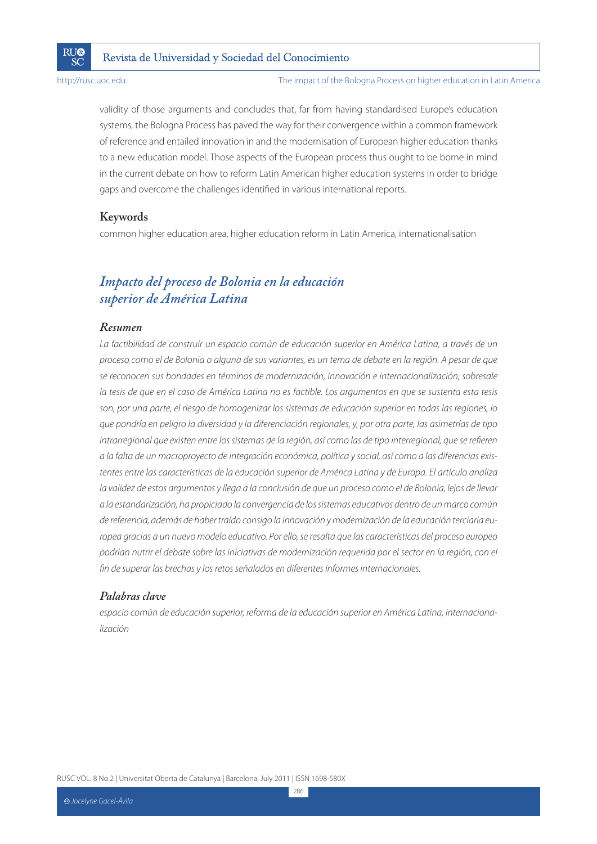http://rusc.uoc.edu The impact of the Bologna Process on higher education in Latin America

validity of those arguments and concludes that, far from having standardised Europe's education systems, the Bologna Process has paved the way for their convergence within a common framework of reference and entailed innovation in and the modernisation of European higher education thanks to a new education model. Those aspects of the European process thus ought to be borne in mind in the current debate on how to reform Latin American higher education systems in order to bridge gaps and overcome the challenges identified in various international reports.

#### **Keywords**

common higher education area, higher education reform in Latin America, internationalisation

### *Impacto del proceso de Bolonia en la educación superior de América Latina*

#### *Resumen*

La factibilidad de construir un espacio común de educación superior en América Latina, a través de un proceso como el de Bolonia o alguna de sus variantes, es un tema de debate en la región. A pesar de que se reconocen sus bondades en términos de modernización, innovación e internacionalización, sobresale la tesis de que en el caso de América Latina no es factible. Los argumentos en que se sustenta esta tesis son, por una parte, el riesgo de homogenizar los sistemas de educación superior en todas las regiones, lo que pondría en peligro la diversidad y la diferenciación regionales, y, por otra parte, las asimetrías de tipo intrarregional que existen entre los sistemas de la región, así como las de tipo interregional, que se refieren a la falta de un macroproyecto de integración económica, política y social, así como a las diferencias existentes entre las características de la educación superior de América Latina y de Europa. El artículo analiza la validez de estos argumentos y llega a la conclusión de que un proceso como el de Bolonia, lejos de llevar a la estandarización, ha propiciado la convergencia de los sistemas educativos dentro de un marco común de referencia, además de haber traído consigo la innovación y modernización de la educación terciaria europea gracias a un nuevo modelo educativo. Por ello, se resalta que las características del proceso europeo podrían nutrir el debate sobre las iniciativas de modernización requerida por el sector en la región, con el fin de superar las brechas y los retos señalados en diferentes informes internacionales.

#### *Palabras clave*

espacio común de educación superior, reforma de la educación superior en América Latina, internacionalización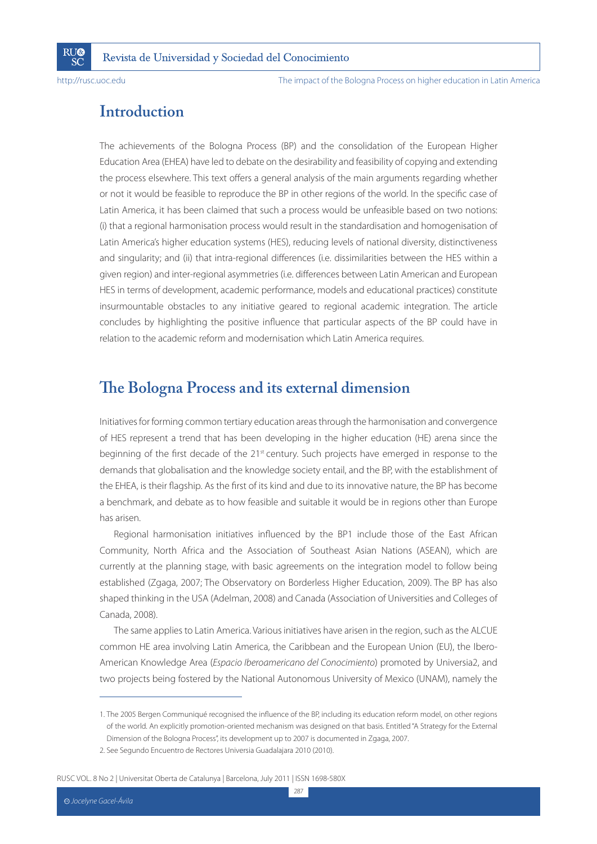

http://rusc.uoc.edu The impact of the Bologna Process on higher education in Latin America

# **Introduction**

The achievements of the Bologna Process (BP) and the consolidation of the European Higher Education Area (EHEA) have led to debate on the desirability and feasibility of copying and extending the process elsewhere. This text offers a general analysis of the main arguments regarding whether or not it would be feasible to reproduce the BP in other regions of the world. In the specific case of Latin America, it has been claimed that such a process would be unfeasible based on two notions: (i) that a regional harmonisation process would result in the standardisation and homogenisation of Latin America's higher education systems (HES), reducing levels of national diversity, distinctiveness and singularity; and (ii) that intra-regional differences (i.e. dissimilarities between the HES within a given region) and inter-regional asymmetries (i.e. differences between Latin American and European HES in terms of development, academic performance, models and educational practices) constitute insurmountable obstacles to any initiative geared to regional academic integration. The article concludes by highlighting the positive influence that particular aspects of the BP could have in relation to the academic reform and modernisation which Latin America requires.

# **The Bologna Process and its external dimension**

Initiatives for forming common tertiary education areas through the harmonisation and convergence of HES represent a trend that has been developing in the higher education (HE) arena since the beginning of the first decade of the 21<sup>st</sup> century. Such projects have emerged in response to the demands that globalisation and the knowledge society entail, and the BP, with the establishment of the EHEA, is their flagship. As the first of its kind and due to its innovative nature, the BP has become a benchmark, and debate as to how feasible and suitable it would be in regions other than Europe has arisen.

Regional harmonisation initiatives influenced by the BP1 include those of the East African Community, North Africa and the Association of Southeast Asian Nations (ASEAN), which are currently at the planning stage, with basic agreements on the integration model to follow being established (Zgaga, 2007; The Observatory on Borderless Higher Education, 2009). The BP has also shaped thinking in the USA (Adelman, 2008) and Canada (Association of Universities and Colleges of Canada, 2008).

The same applies to Latin America. Various initiatives have arisen in the region, such as the ALCUE common HE area involving Latin America, the Caribbean and the European Union (EU), the Ibero-American Knowledge Area (Espacio Iberoamericano del Conocimiento) promoted by Universia2, and two projects being fostered by the National Autonomous University of Mexico (UNAM), namely the

<sup>1.</sup> The 2005 Bergen Communiqué recognised the influence of the BP, including its education reform model, on other regions of the world. An explicitly promotion-oriented mechanism was designed on that basis. Entitled "A Strategy for the External Dimension of the Bologna Process", its development up to 2007 is documented in Zgaga, 2007.

<sup>2.</sup> See Segundo Encuentro de Rectores Universia Guadalajara 2010 (2010).

RUSC VOL. 8 No 2 | Universitat Oberta de Catalunya | Barcelona, July 2011 | ISSN 1698-580X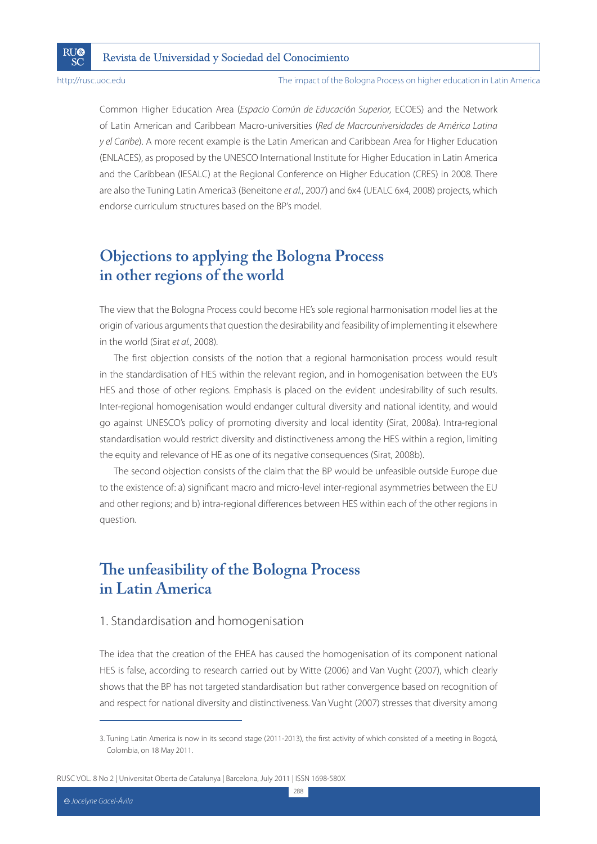SČ

Common Higher Education Area (Espacio Común de Educación Superior, ECOES) and the Network of Latin American and Caribbean Macro-universities (Red de Macrouniversidades de América Latina y el Caribe). A more recent example is the Latin American and Caribbean Area for Higher Education (ENLACES), as proposed by the UNESCO International Institute for Higher Education in Latin America and the Caribbean (IESALC) at the Regional Conference on Higher Education (CRES) in 2008. There are also the Tuning Latin America3 (Beneitone et al., 2007) and 6x4 (UEALC 6x4, 2008) projects, which endorse curriculum structures based on the BP's model.

# **Objections to applying the Bologna Process in other regions of the world**

The view that the Bologna Process could become HE's sole regional harmonisation model lies at the origin of various arguments that question the desirability and feasibility of implementing it elsewhere in the world (Sirat et al., 2008).

The first objection consists of the notion that a regional harmonisation process would result in the standardisation of HES within the relevant region, and in homogenisation between the EU's HES and those of other regions. Emphasis is placed on the evident undesirability of such results. Inter-regional homogenisation would endanger cultural diversity and national identity, and would go against UNESCO's policy of promoting diversity and local identity (Sirat, 2008a). Intra-regional standardisation would restrict diversity and distinctiveness among the HES within a region, limiting the equity and relevance of HE as one of its negative consequences (Sirat, 2008b).

The second objection consists of the claim that the BP would be unfeasible outside Europe due to the existence of: a) significant macro and micro-level inter-regional asymmetries between the EU and other regions; and b) intra-regional differences between HES within each of the other regions in question.

# **The unfeasibility of the Bologna Process in Latin America**

### 1. Standardisation and homogenisation

The idea that the creation of the EHEA has caused the homogenisation of its component national HES is false, according to research carried out by Witte (2006) and Van Vught (2007), which clearly shows that the BP has not targeted standardisation but rather convergence based on recognition of and respect for national diversity and distinctiveness. Van Vught (2007) stresses that diversity among

**CC** Jocelyne Gacel-Ávila

<sup>3.</sup> Tuning Latin America is now in its second stage (2011-2013), the first activity of which consisted of a meeting in Bogotá, Colombia, on 18 May 2011.

RUSC VOL. 8 No 2 | Universitat Oberta de Catalunya | Barcelona, July 2011 | ISSN 1698-580X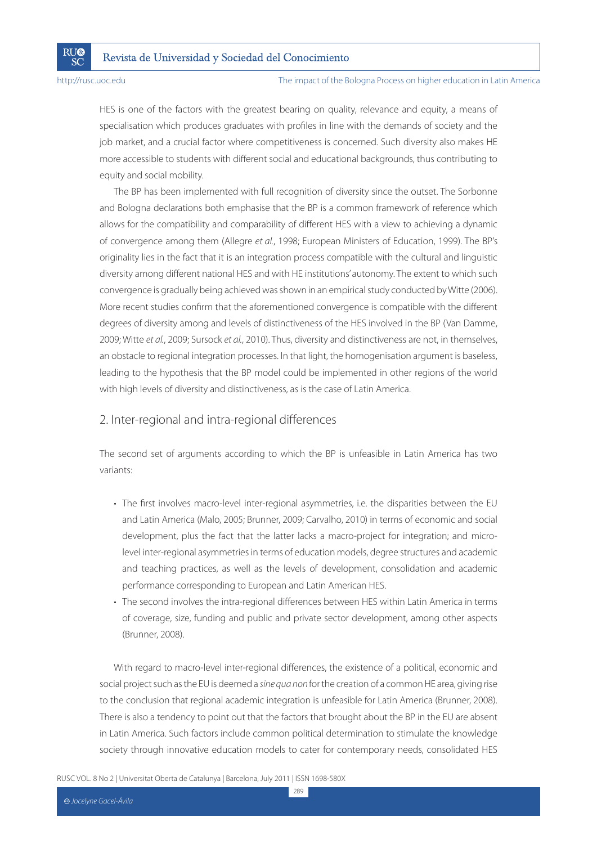**RU®** 

SČ

http://rusc.uoc.edu The impact of the Bologna Process on higher education in Latin America

HES is one of the factors with the greatest bearing on quality, relevance and equity, a means of specialisation which produces graduates with profiles in line with the demands of society and the job market, and a crucial factor where competitiveness is concerned. Such diversity also makes HE more accessible to students with different social and educational backgrounds, thus contributing to equity and social mobility.

The BP has been implemented with full recognition of diversity since the outset. The Sorbonne and Bologna declarations both emphasise that the BP is a common framework of reference which allows for the compatibility and comparability of different HES with a view to achieving a dynamic of convergence among them (Allegre et al., 1998; European Ministers of Education, 1999). The BP's originality lies in the fact that it is an integration process compatible with the cultural and linguistic diversity among different national HES and with HE institutions' autonomy. The extent to which such convergence is gradually being achieved was shown in an empirical study conducted by Witte (2006). More recent studies confirm that the aforementioned convergence is compatible with the different degrees of diversity among and levels of distinctiveness of the HES involved in the BP (Van Damme, 2009; Witte et al., 2009; Sursock et al., 2010). Thus, diversity and distinctiveness are not, in themselves, an obstacle to regional integration processes. In that light, the homogenisation argument is baseless, leading to the hypothesis that the BP model could be implemented in other regions of the world with high levels of diversity and distinctiveness, as is the case of Latin America.

### 2. Inter-regional and intra-regional differences

The second set of arguments according to which the BP is unfeasible in Latin America has two variants:

- The first involves macro-level inter-regional asymmetries, i.e. the disparities between the EU and Latin America (Malo, 2005; Brunner, 2009; Carvalho, 2010) in terms of economic and social development, plus the fact that the latter lacks a macro-project for integration; and microlevel inter-regional asymmetries in terms of education models, degree structures and academic and teaching practices, as well as the levels of development, consolidation and academic performance corresponding to European and Latin American HES.
- The second involves the intra-regional differences between HES within Latin America in terms of coverage, size, funding and public and private sector development, among other aspects (Brunner, 2008).

With regard to macro-level inter-regional differences, the existence of a political, economic and social project such as the EU is deemed a sine qua non for the creation of a common HE area, giving rise to the conclusion that regional academic integration is unfeasible for Latin America (Brunner, 2008). There is also a tendency to point out that the factors that brought about the BP in the EU are absent in Latin America. Such factors include common political determination to stimulate the knowledge society through innovative education models to cater for contemporary needs, consolidated HES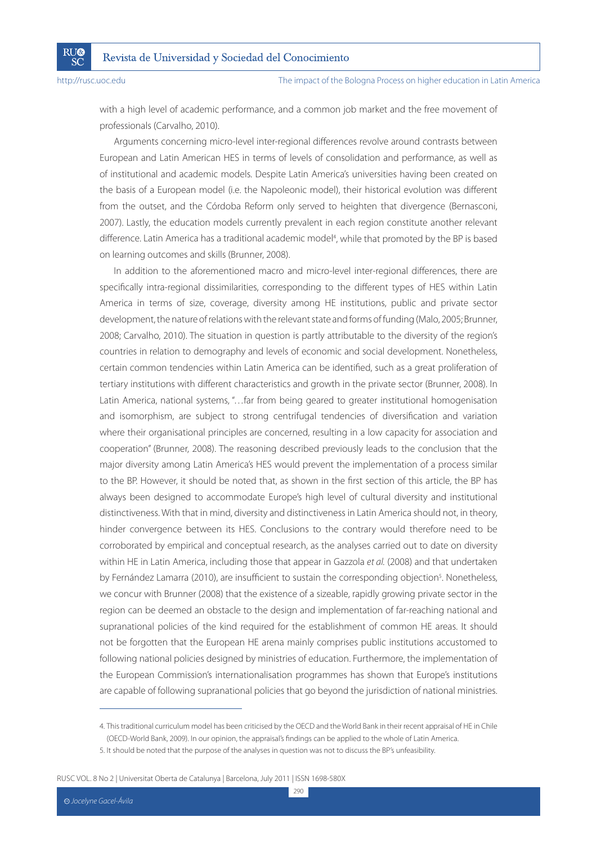**SC** 

with a high level of academic performance, and a common job market and the free movement of professionals (Carvalho, 2010).

Arguments concerning micro-level inter-regional differences revolve around contrasts between European and Latin American HES in terms of levels of consolidation and performance, as well as of institutional and academic models. Despite Latin America's universities having been created on the basis of a European model (i.e. the Napoleonic model), their historical evolution was different from the outset, and the Córdoba Reform only served to heighten that divergence (Bernasconi, 2007). Lastly, the education models currently prevalent in each region constitute another relevant difference. Latin America has a traditional academic model<sup>4</sup>, while that promoted by the BP is based on learning outcomes and skills (Brunner, 2008).

In addition to the aforementioned macro and micro-level inter-regional differences, there are specifically intra-regional dissimilarities, corresponding to the different types of HES within Latin America in terms of size, coverage, diversity among HE institutions, public and private sector development, the nature of relations with the relevant state and forms of funding (Malo, 2005; Brunner, 2008; Carvalho, 2010). The situation in question is partly attributable to the diversity of the region's countries in relation to demography and levels of economic and social development. Nonetheless, certain common tendencies within Latin America can be identified, such as a great proliferation of tertiary institutions with different characteristics and growth in the private sector (Brunner, 2008). In Latin America, national systems, "…far from being geared to greater institutional homogenisation and isomorphism, are subject to strong centrifugal tendencies of diversification and variation where their organisational principles are concerned, resulting in a low capacity for association and cooperation" (Brunner, 2008). The reasoning described previously leads to the conclusion that the major diversity among Latin America's HES would prevent the implementation of a process similar to the BP. However, it should be noted that, as shown in the first section of this article, the BP has always been designed to accommodate Europe's high level of cultural diversity and institutional distinctiveness. With that in mind, diversity and distinctiveness in Latin America should not, in theory, hinder convergence between its HES. Conclusions to the contrary would therefore need to be corroborated by empirical and conceptual research, as the analyses carried out to date on diversity within HE in Latin America, including those that appear in Gazzola et al. (2008) and that undertaken by Fernández Lamarra (2010), are insufficient to sustain the corresponding objection<sup>5</sup>. Nonetheless, we concur with Brunner (2008) that the existence of a sizeable, rapidly growing private sector in the region can be deemed an obstacle to the design and implementation of far-reaching national and supranational policies of the kind required for the establishment of common HE areas. It should not be forgotten that the European HE arena mainly comprises public institutions accustomed to following national policies designed by ministries of education. Furthermore, the implementation of the European Commission's internationalisation programmes has shown that Europe's institutions are capable of following supranational policies that go beyond the jurisdiction of national ministries.

RUSC VOL. 8 No 2 | Universitat Oberta de Catalunya | Barcelona, July 2011 | ISSN 1698-580X

**CC** Jocelyne Gacel-Ávila

<sup>4.</sup> This traditional curriculum model has been criticised by the OECD and the World Bank in their recent appraisal of HE in Chile (OECD-World Bank, 2009). In our opinion, the appraisal's findings can be applied to the whole of Latin America.

<sup>5.</sup> It should be noted that the purpose of the analyses in question was not to discuss the BP's unfeasibility.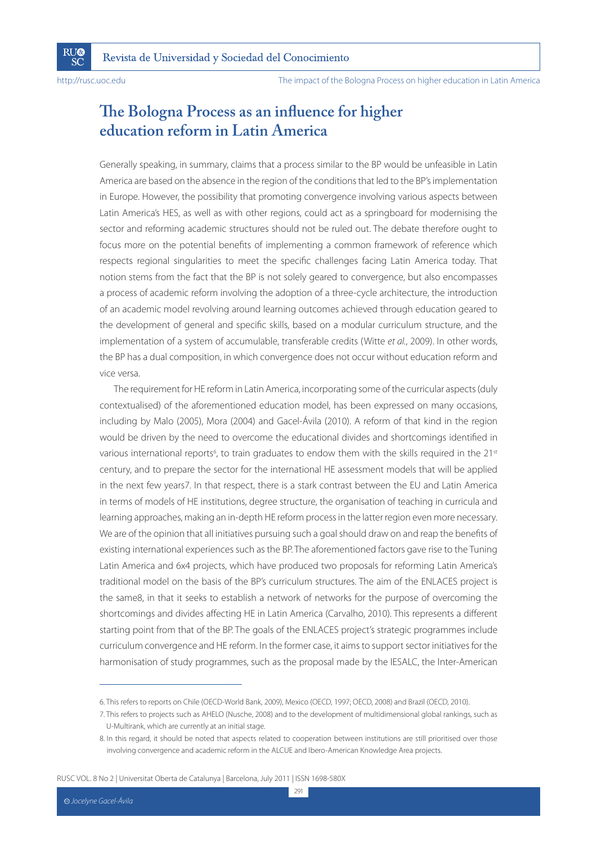**SC** 

http://rusc.uoc.edu The impact of the Bologna Process on higher education in Latin America

# **The Bologna Process as an influence for higher education reform in Latin America**

Generally speaking, in summary, claims that a process similar to the BP would be unfeasible in Latin America are based on the absence in the region of the conditions that led to the BP's implementation in Europe. However, the possibility that promoting convergence involving various aspects between Latin America's HES, as well as with other regions, could act as a springboard for modernising the sector and reforming academic structures should not be ruled out. The debate therefore ought to focus more on the potential benefits of implementing a common framework of reference which respects regional singularities to meet the specific challenges facing Latin America today. That notion stems from the fact that the BP is not solely geared to convergence, but also encompasses a process of academic reform involving the adoption of a three-cycle architecture, the introduction of an academic model revolving around learning outcomes achieved through education geared to the development of general and specific skills, based on a modular curriculum structure, and the implementation of a system of accumulable, transferable credits (Witte et al., 2009). In other words, the BP has a dual composition, in which convergence does not occur without education reform and vice versa.

The requirement for HE reform in Latin America, incorporating some of the curricular aspects (duly contextualised) of the aforementioned education model, has been expressed on many occasions, including by Malo (2005), Mora (2004) and Gacel-Ávila (2010). A reform of that kind in the region would be driven by the need to overcome the educational divides and shortcomings identified in various international reports<sup>6</sup>, to train graduates to endow them with the skills required in the  $21<sup>st</sup>$ century, and to prepare the sector for the international HE assessment models that will be applied in the next few years7. In that respect, there is a stark contrast between the EU and Latin America in terms of models of HE institutions, degree structure, the organisation of teaching in curricula and learning approaches, making an in-depth HE reform process in the latter region even more necessary. We are of the opinion that all initiatives pursuing such a goal should draw on and reap the benefits of existing international experiences such as the BP. The aforementioned factors gave rise to the Tuning Latin America and 6x4 projects, which have produced two proposals for reforming Latin America's traditional model on the basis of the BP's curriculum structures. The aim of the ENLACES project is the same8, in that it seeks to establish a network of networks for the purpose of overcoming the shortcomings and divides affecting HE in Latin America (Carvalho, 2010). This represents a different starting point from that of the BP. The goals of the ENLACES project's strategic programmes include curriculum convergence and HE reform. In the former case, it aims to support sector initiatives for the harmonisation of study programmes, such as the proposal made by the IESALC, the Inter-American

<sup>6.</sup> This refers to reports on Chile (OECD-World Bank, 2009), Mexico (OECD, 1997; OECD, 2008) and Brazil (OECD, 2010).

<sup>7.</sup> This refers to projects such as AHELO (Nusche, 2008) and to the development of multidimensional global rankings, such as U-Multirank, which are currently at an initial stage.

<sup>8.</sup> In this regard, it should be noted that aspects related to cooperation between institutions are still prioritised over those involving convergence and academic reform in the ALCUE and Ibero-American Knowledge Area projects.

RUSC VOL. 8 No 2 | Universitat Oberta de Catalunya | Barcelona, July 2011 | ISSN 1698-580X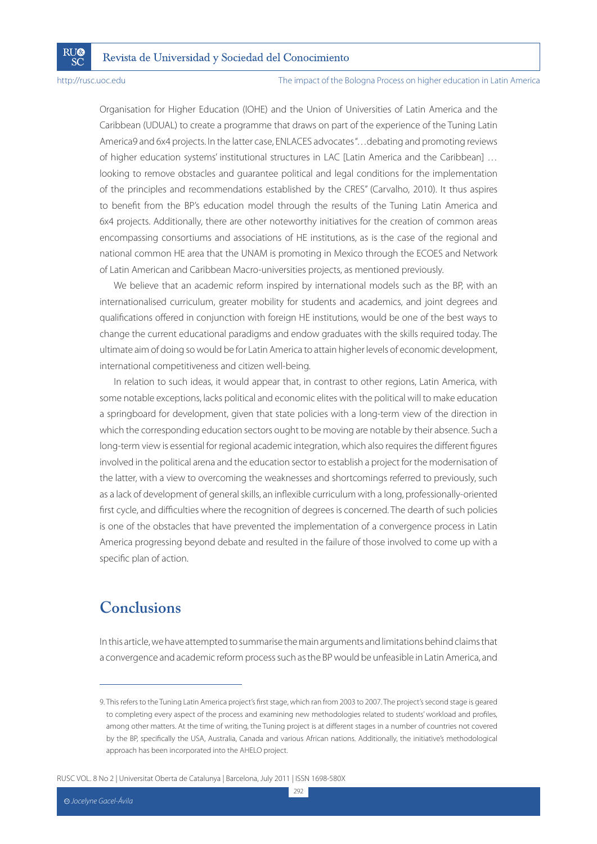**SC** 

#### http://rusc.uoc.edu The impact of the Bologna Process on higher education in Latin America

Organisation for Higher Education (IOHE) and the Union of Universities of Latin America and the Caribbean (UDUAL) to create a programme that draws on part of the experience of the Tuning Latin America9 and 6x4 projects. In the latter case, ENLACES advocates "…debating and promoting reviews of higher education systems' institutional structures in LAC [Latin America and the Caribbean] … looking to remove obstacles and guarantee political and legal conditions for the implementation of the principles and recommendations established by the CRES" (Carvalho, 2010). It thus aspires to benefit from the BP's education model through the results of the Tuning Latin America and 6x4 projects. Additionally, there are other noteworthy initiatives for the creation of common areas encompassing consortiums and associations of HE institutions, as is the case of the regional and national common HE area that the UNAM is promoting in Mexico through the ECOES and Network of Latin American and Caribbean Macro-universities projects, as mentioned previously.

We believe that an academic reform inspired by international models such as the BP, with an internationalised curriculum, greater mobility for students and academics, and joint degrees and qualifications offered in conjunction with foreign HE institutions, would be one of the best ways to change the current educational paradigms and endow graduates with the skills required today. The ultimate aim of doing so would be for Latin America to attain higher levels of economic development, international competitiveness and citizen well-being.

In relation to such ideas, it would appear that, in contrast to other regions, Latin America, with some notable exceptions, lacks political and economic elites with the political will to make education a springboard for development, given that state policies with a long-term view of the direction in which the corresponding education sectors ought to be moving are notable by their absence. Such a long-term view is essential for regional academic integration, which also requires the different figures involved in the political arena and the education sector to establish a project for the modernisation of the latter, with a view to overcoming the weaknesses and shortcomings referred to previously, such as a lack of development of general skills, an inflexible curriculum with a long, professionally-oriented first cycle, and difficulties where the recognition of degrees is concerned. The dearth of such policies is one of the obstacles that have prevented the implementation of a convergence process in Latin America progressing beyond debate and resulted in the failure of those involved to come up with a specific plan of action.

### **Conclusions**

In this article, we have attempted to summarise the main arguments and limitations behind claims that a convergence and academic reform process such as the BP would be unfeasible in Latin America, and

RUSC VOL. 8 No 2 | Universitat Oberta de Catalunya | Barcelona, July 2011 | ISSN 1698-580X

**CC** Jocelyne Gacel-Ávila

<sup>9.</sup> This refers to the Tuning Latin America project's first stage, which ran from 2003 to 2007. The project's second stage is geared to completing every aspect of the process and examining new methodologies related to students' workload and profiles, among other matters. At the time of writing, the Tuning project is at different stages in a number of countries not covered by the BP, specifically the USA, Australia, Canada and various African nations. Additionally, the initiative's methodological approach has been incorporated into the AHELO project.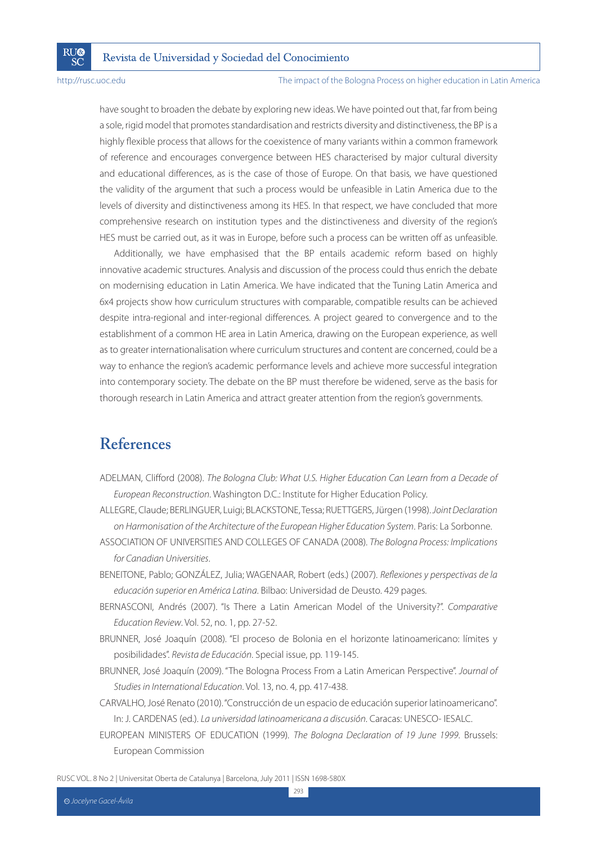**RU®** 

SČ

#### http://rusc.uoc.edu The impact of the Bologna Process on higher education in Latin America

have sought to broaden the debate by exploring new ideas. We have pointed out that, far from being a sole, rigid model that promotes standardisation and restricts diversity and distinctiveness, the BP is a highly flexible process that allows for the coexistence of many variants within a common framework of reference and encourages convergence between HES characterised by major cultural diversity and educational differences, as is the case of those of Europe. On that basis, we have questioned the validity of the argument that such a process would be unfeasible in Latin America due to the levels of diversity and distinctiveness among its HES. In that respect, we have concluded that more comprehensive research on institution types and the distinctiveness and diversity of the region's HES must be carried out, as it was in Europe, before such a process can be written off as unfeasible.

Additionally, we have emphasised that the BP entails academic reform based on highly innovative academic structures. Analysis and discussion of the process could thus enrich the debate on modernising education in Latin America. We have indicated that the Tuning Latin America and 6x4 projects show how curriculum structures with comparable, compatible results can be achieved despite intra-regional and inter-regional differences. A project geared to convergence and to the establishment of a common HE area in Latin America, drawing on the European experience, as well as to greater internationalisation where curriculum structures and content are concerned, could be a way to enhance the region's academic performance levels and achieve more successful integration into contemporary society. The debate on the BP must therefore be widened, serve as the basis for thorough research in Latin America and attract greater attention from the region's governments.

### **References**

ADELMAN, Clifford (2008). The Bologna Club: What U.S. Higher Education Can Learn from a Decade of European Reconstruction. Washington D.C.: Institute for Higher Education Policy.

ALLEGRE, Claude; BERLINGUER, Luigi; BLACKSTONE, Tessa; RUETTGERS, Jürgen (1998). Joint Declaration on Harmonisation of the Architecture of the European Higher Education System. Paris: La Sorbonne.

- ASSOCIATION OF UNIVERSITIES AND COLLEGES OF CANADA (2008). The Bologna Process: Implications for Canadian Universities.
- BENEITONE, Pablo; GONZÁLEZ, Julia; WAGENAAR, Robert (eds.) (2007). Reflexiones y perspectivas de la educación superior en América Latina. Bilbao: Universidad de Deusto. 429 pages.
- BERNASCONI, Andrés (2007). "Is There a Latin American Model of the University?". Comparative Education Review. Vol. 52, no. 1, pp. 27-52.
- BRUNNER, José Joaquín (2008). "El proceso de Bolonia en el horizonte latinoamericano: límites y posibilidades". Revista de Educación. Special issue, pp. 119-145.
- BRUNNER, José Joaquín (2009). "The Bologna Process From a Latin American Perspective". Journal of Studies in International Education. Vol. 13, no. 4, pp. 417-438.
- CARVALHO, José Renato (2010). "Construcción de un espacio de educación superior latinoamericano". In: J. CARDENAS (ed.). La universidad latinoamericana a discusión. Caracas: UNESCO- IESALC.
- EUROPEAN MINISTERS OF EDUCATION (1999). The Bologna Declaration of 19 June 1999. Brussels: European Commission

RUSC VOL. 8 No 2 | Universitat Oberta de Catalunya | Barcelona, July 2011 | ISSN 1698-580X

**CC** Jocelyne Gacel-Ávila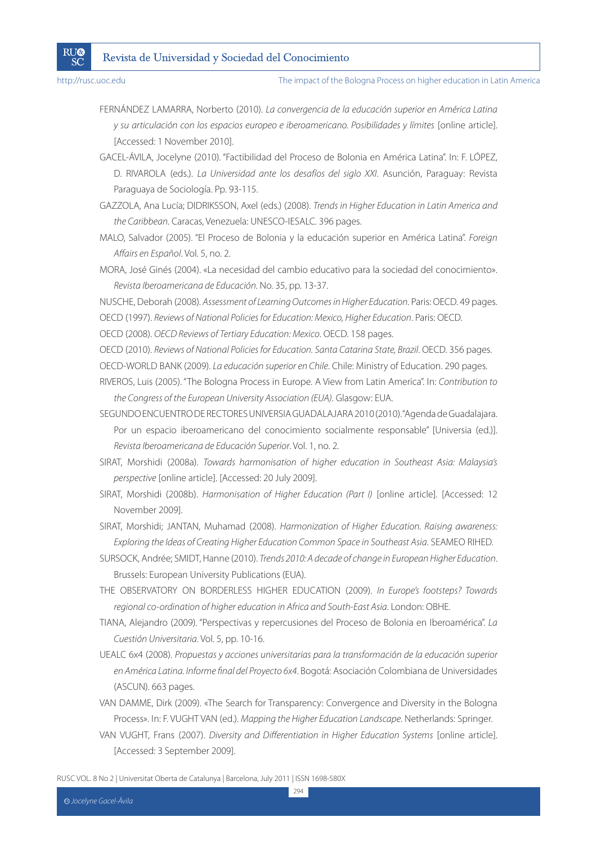**RU®** 

SČ

- FERNÁNDEZ LAMARRA, Norberto (2010). La convergencia de la educación superior en América Latina y su articulación con los espacios europeo e iberoamericano. Posibilidades y límites [online article]. [Accessed: 1 November 2010].
- GACEL-ÁVILA, Jocelyne (2010). "Factibilidad del Proceso de Bolonia en América Latina". In: F. LÓPEZ, D. RIVAROLA (eds.). La Universidad ante los desafíos del siglo XXI. Asunción, Paraguay: Revista Paraguaya de Sociología. Pp. 93-115.
- GAZZOLA, Ana Lucía; DIDRIKSSON, Axel (eds.) (2008). Trends in Higher Education in Latin America and the Caribbean. Caracas, Venezuela: UNESCO-IESALC. 396 pages.
- MALO, Salvador (2005). "El Proceso de Bolonia y la educación superior en América Latina". Foreign Affairs en Español. Vol. 5, no. 2.
- MORA, José Ginés (2004). «La necesidad del cambio educativo para la sociedad del conocimiento». Revista Iberoamericana de Educación. No. 35, pp. 13-37.
- NUSCHE, Deborah (2008). Assessment of Learning Outcomes in Higher Education. Paris: OECD. 49 pages.
- OECD (1997). Reviews of National Policies for Education: Mexico, Higher Education. Paris: OECD.

OECD (2008). OECD Reviews of Tertiary Education: Mexico. OECD. 158 pages.

- OECD (2010). Reviews of National Policies for Education. Santa Catarina State, Brazil. OECD. 356 pages.
- OECD-WORLD BANK (2009). La educación superior en Chile. Chile: Ministry of Education. 290 pages.
- RIVEROS, Luis (2005). "The Bologna Process in Europe. A View from Latin America". In: Contribution to the Congress of the European University Association (EUA). Glasgow: EUA.
- SEGUNDO ENCUENTRO DE RECTORES UNIVERSIA GUADALAJARA 2010 (2010). "Agenda de Guadalajara. Por un espacio iberoamericano del conocimiento socialmente responsable" [Universia (ed.)]. Revista Iberoamericana de Educación Superior. Vol. 1, no. 2.
- SIRAT, Morshidi (2008a). Towards harmonisation of higher education in Southeast Asia: Malaysia's perspective [online article]. [Accessed: 20 July 2009].
- SIRAT, Morshidi (2008b). Harmonisation of Higher Education (Part I) [online article]. [Accessed: 12 November 2009].

SIRAT, Morshidi; JANTAN, Muhamad (2008). Harmonization of Higher Education. Raising awareness: Exploring the Ideas of Creating Higher Education Common Space in Southeast Asia. SEAMEO RIHED.

- SURSOCK, Andrée; SMIDT, Hanne (2010). Trends 2010: A decade of change in European Higher Education. Brussels: European University Publications (EUA).
- THE OBSERVATORY ON BORDERLESS HIGHER EDUCATION (2009). In Europe's footsteps? Towards regional co-ordination of higher education in Africa and South-East Asia. London: OBHE.
- TIANA, Alejandro (2009). "Perspectivas y repercusiones del Proceso de Bolonia en Iberoamérica". La Cuestión Universitaria. Vol. 5, pp. 10-16.
- UEALC 6x4 (2008). Propuestas y acciones universitarias para la transformación de la educación superior en América Latina. Informe final del Proyecto 6x4. Bogotá: Asociación Colombiana de Universidades (ASCUN). 663 pages.
- VAN DAMME, Dirk (2009). «The Search for Transparency: Convergence and Diversity in the Bologna Process». In: F. VUGHT VAN (ed.). Mapping the Higher Education Landscape. Netherlands: Springer.
- VAN VUGHT, Frans (2007). Diversity and Differentiation in Higher Education Systems [online article]. [Accessed: 3 September 2009].

RUSC VOL. 8 No 2 | Universitat Oberta de Catalunya | Barcelona, July 2011 | ISSN 1698-580X

**CC** Jocelyne Gacel-Ávila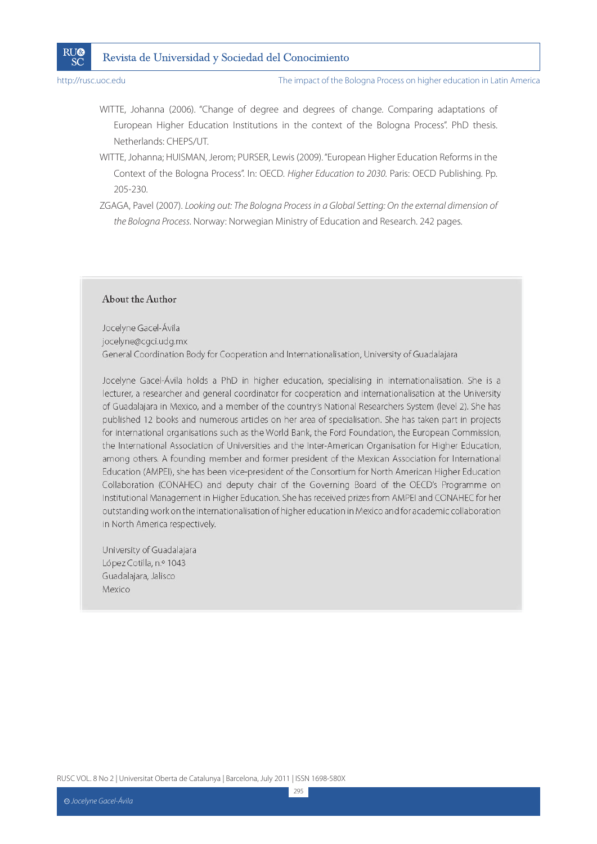

- WITTE, Johanna (2006). "Change of degree and degrees of change. Comparing adaptations of European Higher Education Institutions in the context of the Bologna Process". PhD thesis. Netherlands: CHEPS/UT.
- WITTE, Johanna; HUISMAN, Jerom; PURSER, Lewis (2009). "European Higher Education Reforms in the Context of the Bologna Process". In: OECD. Higher Education to 2030. Paris: OECD Publishing. Pp. 205-230.
- ZGAGA, Pavel (2007). Looking out: The Bologna Process in a Global Setting: On the external dimension of the Bologna Process. Norway: Norwegian Ministry of Education and Research. 242 pages.

#### About the Author

Jocelyne Gacel-Ávila jocelyne@cgci.udg.mx General Coordination Body for Cooperation and Internationalisation, University of Guadalajara

Jocelyne Gacel-Ávila holds a PhD in higher education, specialising in internationalisation. She is a lecturer, a researcher and general coordinator for cooperation and internationalisation at the University of Guadalajara in Mexico, and a member of the country's National Researchers System (level 2). She has published 12 books and numerous articles on her area of specialisation. She has taken part in projects for international organisations such as the World Bank, the Ford Foundation, the European Commission, the International Association of Universities and the Inter-American Organisation for Higher Education, among others. A founding member and former president of the Mexican Association for International Education (AMPEI), she has been vice-president of the Consortium for North American Higher Education Collaboration (CONAHEC) and deputy chair of the Governing Board of the OECD's Programme on Institutional Management in Higher Education. She has received prizes from AMPEI and CONAHEC for her outstanding work on the internationalisation of higher education in Mexico and for academic collaboration in North America respectively.

University of Guadalajara López Cotilla, n.º 1043 Guadalajara, Jalisco Mexico

RUSC VOL. 8 No 2 | Universitat Oberta de Catalunya | Barcelona, July 2011 | ISSN 1698-580X